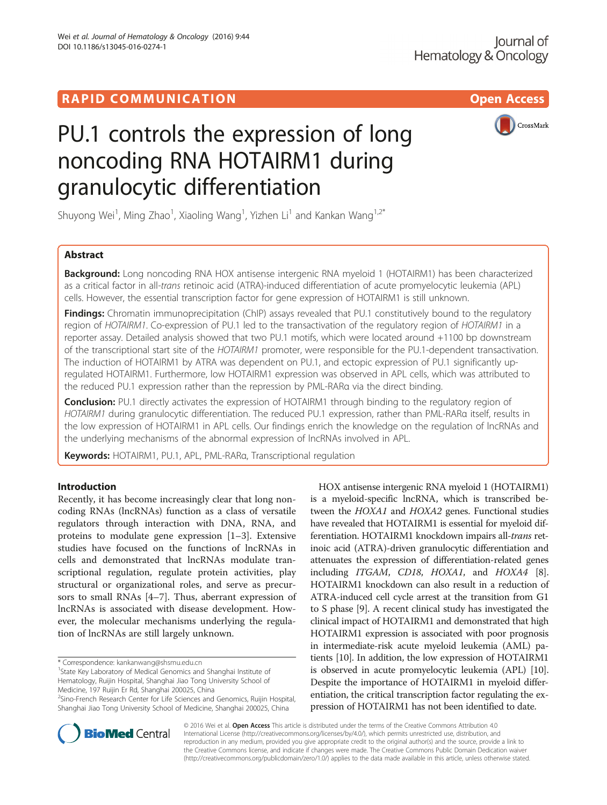Wei et al. Journal of Hematology & Oncology (2016) 9:44

DOI 10.1186/s13045-016-0274-1



# PU.1 controls the expression of long noncoding RNA HOTAIRM1 during granulocytic differentiation

Shuyong Wei<sup>1</sup>, Ming Zhao<sup>1</sup>, Xiaoling Wang<sup>1</sup>, Yizhen Li<sup>1</sup> and Kankan Wang<sup>1,2\*</sup>

# Abstract

**Background:** Long noncoding RNA HOX antisense intergenic RNA myeloid 1 (HOTAIRM1) has been characterized as a critical factor in all-trans retinoic acid (ATRA)-induced differentiation of acute promyelocytic leukemia (APL) cells. However, the essential transcription factor for gene expression of HOTAIRM1 is still unknown.

**Findings:** Chromatin immunoprecipitation (ChIP) assays revealed that PU.1 constitutively bound to the regulatory region of HOTAIRM1. Co-expression of PU.1 led to the transactivation of the regulatory region of HOTAIRM1 in a reporter assay. Detailed analysis showed that two PU.1 motifs, which were located around +1100 bp downstream of the transcriptional start site of the HOTAIRM1 promoter, were responsible for the PU.1-dependent transactivation. The induction of HOTAIRM1 by ATRA was dependent on PU.1, and ectopic expression of PU.1 significantly upregulated HOTAIRM1. Furthermore, low HOTAIRM1 expression was observed in APL cells, which was attributed to the reduced PU.1 expression rather than the repression by PML-RARα via the direct binding.

**Conclusion:** PU.1 directly activates the expression of HOTAIRM1 through binding to the regulatory region of HOTAIRM1 during granulocytic differentiation. The reduced PU.1 expression, rather than PML-RARa itself, results in the low expression of HOTAIRM1 in APL cells. Our findings enrich the knowledge on the regulation of lncRNAs and the underlying mechanisms of the abnormal expression of lncRNAs involved in APL.

Keywords: HOTAIRM1, PU.1, APL, PML-RARα, Transcriptional regulation

# Introduction

Recently, it has become increasingly clear that long noncoding RNAs (lncRNAs) function as a class of versatile regulators through interaction with DNA, RNA, and proteins to modulate gene expression [\[1](#page-7-0)–[3\]](#page-7-0). Extensive studies have focused on the functions of lncRNAs in cells and demonstrated that lncRNAs modulate transcriptional regulation, regulate protein activities, play structural or organizational roles, and serve as precursors to small RNAs [[4](#page-7-0)–[7](#page-7-0)]. Thus, aberrant expression of lncRNAs is associated with disease development. However, the molecular mechanisms underlying the regulation of lncRNAs are still largely unknown.

\* Correspondence: [kankanwang@shsmu.edu.cn](mailto:kankanwang@shsmu.edu.cn) <sup>1</sup>

<sup>1</sup> State Key Laboratory of Medical Genomics and Shanghai Institute of Hematology, Ruijin Hospital, Shanghai Jiao Tong University School of Medicine, 197 Ruijin Er Rd, Shanghai 200025, China

<sup>2</sup>Sino-French Research Center for Life Sciences and Genomics, Ruijin Hospital, Shanghai Jiao Tong University School of Medicine, Shanghai 200025, China

HOX antisense intergenic RNA myeloid 1 (HOTAIRM1) is a myeloid-specific lncRNA, which is transcribed between the HOXA1 and HOXA2 genes. Functional studies have revealed that HOTAIRM1 is essential for myeloid differentiation. HOTAIRM1 knockdown impairs all-trans retinoic acid (ATRA)-driven granulocytic differentiation and attenuates the expression of differentiation-related genes including ITGAM, CD18, HOXA1, and HOXA4 [[8](#page-7-0)]. HOTAIRM1 knockdown can also result in a reduction of ATRA-induced cell cycle arrest at the transition from G1 to S phase [[9\]](#page-7-0). A recent clinical study has investigated the clinical impact of HOTAIRM1 and demonstrated that high HOTAIRM1 expression is associated with poor prognosis in intermediate-risk acute myeloid leukemia (AML) patients [[10](#page-7-0)]. In addition, the low expression of HOTAIRM1 is observed in acute promyelocytic leukemia (APL) [[10](#page-7-0)]. Despite the importance of HOTAIRM1 in myeloid differentiation, the critical transcription factor regulating the expression of HOTAIRM1 has not been identified to date.



© 2016 Wei et al. Open Access This article is distributed under the terms of the Creative Commons Attribution 4.0 International License [\(http://creativecommons.org/licenses/by/4.0/](http://creativecommons.org/licenses/by/4.0/)), which permits unrestricted use, distribution, and reproduction in any medium, provided you give appropriate credit to the original author(s) and the source, provide a link to the Creative Commons license, and indicate if changes were made. The Creative Commons Public Domain Dedication waiver [\(http://creativecommons.org/publicdomain/zero/1.0/](http://creativecommons.org/publicdomain/zero/1.0/)) applies to the data made available in this article, unless otherwise stated.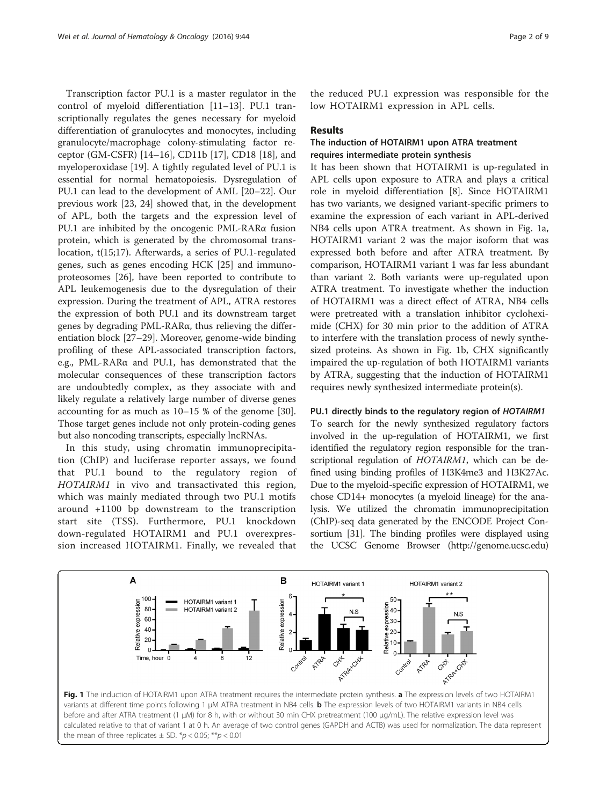Transcription factor PU.1 is a master regulator in the control of myeloid differentiation [[11](#page-7-0)–[13\]](#page-7-0). PU.1 transcriptionally regulates the genes necessary for myeloid differentiation of granulocytes and monocytes, including granulocyte/macrophage colony-stimulating factor receptor (GM-CSFR) [[14](#page-7-0)–[16](#page-7-0)], CD11b [[17](#page-7-0)], CD18 [\[18](#page-7-0)], and myeloperoxidase [\[19\]](#page-7-0). A tightly regulated level of PU.1 is essential for normal hematopoiesis. Dysregulation of PU.1 can lead to the development of AML [[20](#page-7-0)–[22](#page-7-0)]. Our previous work [\[23, 24](#page-7-0)] showed that, in the development of APL, both the targets and the expression level of PU.1 are inhibited by the oncogenic PML-RARα fusion protein, which is generated by the chromosomal translocation, t(15;17). Afterwards, a series of PU.1-regulated genes, such as genes encoding HCK [\[25](#page-7-0)] and immunoproteosomes [\[26](#page-7-0)], have been reported to contribute to APL leukemogenesis due to the dysregulation of their expression. During the treatment of APL, ATRA restores the expression of both PU.1 and its downstream target genes by degrading PML-RARα, thus relieving the differentiation block [[27](#page-7-0)–[29](#page-8-0)]. Moreover, genome-wide binding profiling of these APL-associated transcription factors, e.g., PML-RARα and PU.1, has demonstrated that the molecular consequences of these transcription factors are undoubtedly complex, as they associate with and likely regulate a relatively large number of diverse genes accounting for as much as 10–15 % of the genome [\[30](#page-8-0)]. Those target genes include not only protein-coding genes but also noncoding transcripts, especially lncRNAs.

In this study, using chromatin immunoprecipitation (ChIP) and luciferase reporter assays, we found that PU.1 bound to the regulatory region of HOTAIRM1 in vivo and transactivated this region, which was mainly mediated through two PU.1 motifs around +1100 bp downstream to the transcription start site (TSS). Furthermore, PU.1 knockdown down-regulated HOTAIRM1 and PU.1 overexpression increased HOTAIRM1. Finally, we revealed that

the reduced PU.1 expression was responsible for the low HOTAIRM1 expression in APL cells.

#### Results

# The induction of HOTAIRM1 upon ATRA treatment requires intermediate protein synthesis

It has been shown that HOTAIRM1 is up-regulated in APL cells upon exposure to ATRA and plays a critical role in myeloid differentiation [[8\]](#page-7-0). Since HOTAIRM1 has two variants, we designed variant-specific primers to examine the expression of each variant in APL-derived NB4 cells upon ATRA treatment. As shown in Fig. 1a, HOTAIRM1 variant 2 was the major isoform that was expressed both before and after ATRA treatment. By comparison, HOTAIRM1 variant 1 was far less abundant than variant 2. Both variants were up-regulated upon ATRA treatment. To investigate whether the induction of HOTAIRM1 was a direct effect of ATRA, NB4 cells were pretreated with a translation inhibitor cycloheximide (CHX) for 30 min prior to the addition of ATRA to interfere with the translation process of newly synthesized proteins. As shown in Fig. 1b, CHX significantly impaired the up-regulation of both HOTAIRM1 variants by ATRA, suggesting that the induction of HOTAIRM1 requires newly synthesized intermediate protein(s).

### PU.1 directly binds to the regulatory region of HOTAIRM1

To search for the newly synthesized regulatory factors involved in the up-regulation of HOTAIRM1, we first identified the regulatory region responsible for the transcriptional regulation of HOTAIRM1, which can be defined using binding profiles of H3K4me3 and H3K27Ac. Due to the myeloid-specific expression of HOTAIRM1, we chose CD14+ monocytes (a myeloid lineage) for the analysis. We utilized the chromatin immunoprecipitation (ChIP)-seq data generated by the ENCODE Project Consortium [[31](#page-8-0)]. The binding profiles were displayed using the UCSC Genome Browser (<http://genome.ucsc.edu>)

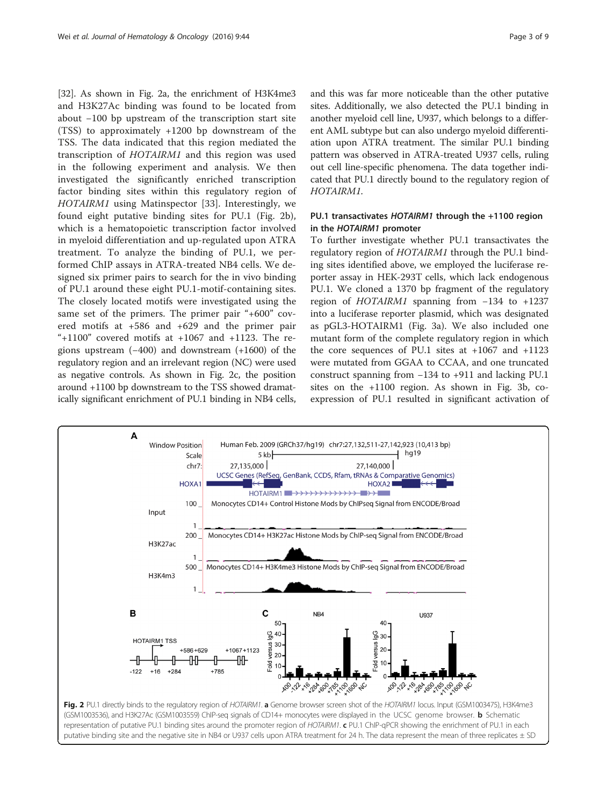<span id="page-2-0"></span>[[32](#page-8-0)]. As shown in Fig. 2a, the enrichment of H3K4me3 and H3K27Ac binding was found to be located from about −100 bp upstream of the transcription start site (TSS) to approximately +1200 bp downstream of the TSS. The data indicated that this region mediated the transcription of HOTAIRM1 and this region was used in the following experiment and analysis. We then investigated the significantly enriched transcription factor binding sites within this regulatory region of HOTAIRM1 using Matinspector [[33](#page-8-0)]. Interestingly, we found eight putative binding sites for PU.1 (Fig. 2b), which is a hematopoietic transcription factor involved in myeloid differentiation and up-regulated upon ATRA treatment. To analyze the binding of PU.1, we performed ChIP assays in ATRA-treated NB4 cells. We designed six primer pairs to search for the in vivo binding of PU.1 around these eight PU.1-motif-containing sites. The closely located motifs were investigated using the same set of the primers. The primer pair "+600" covered motifs at +586 and +629 and the primer pair "+1100" covered motifs at  $+1067$  and  $+1123$ . The regions upstream (−400) and downstream (+1600) of the regulatory region and an irrelevant region (NC) were used as negative controls. As shown in Fig. 2c, the position around +1100 bp downstream to the TSS showed dramatically significant enrichment of PU.1 binding in NB4 cells, and this was far more noticeable than the other putative sites. Additionally, we also detected the PU.1 binding in another myeloid cell line, U937, which belongs to a different AML subtype but can also undergo myeloid differentiation upon ATRA treatment. The similar PU.1 binding pattern was observed in ATRA-treated U937 cells, ruling out cell line-specific phenomena. The data together indicated that PU.1 directly bound to the regulatory region of HOTAIRM1.

# PU.1 transactivates HOTAIRM1 through the +1100 region in the HOTAIRM1 promoter

To further investigate whether PU.1 transactivates the regulatory region of HOTAIRM1 through the PU.1 binding sites identified above, we employed the luciferase reporter assay in HEK-293T cells, which lack endogenous PU.1. We cloned a 1370 bp fragment of the regulatory region of HOTAIRM1 spanning from −134 to +1237 into a luciferase reporter plasmid, which was designated as pGL3-HOTAIRM1 (Fig. [3a](#page-3-0)). We also included one mutant form of the complete regulatory region in which the core sequences of PU.1 sites at +1067 and +1123 were mutated from GGAA to CCAA, and one truncated construct spanning from −134 to +911 and lacking PU.1 sites on the +1100 region. As shown in Fig. [3b,](#page-3-0) coexpression of PU.1 resulted in significant activation of

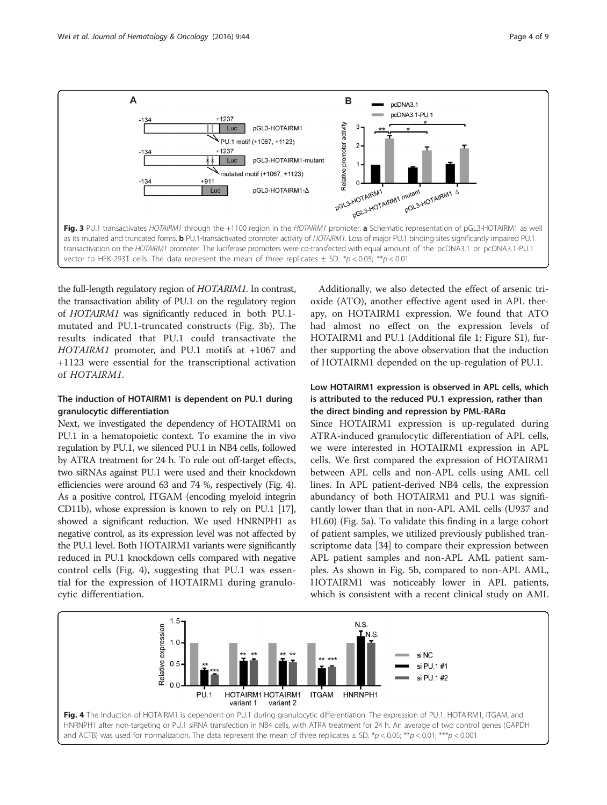<span id="page-3-0"></span>

the full-length regulatory region of HOTARIM1. In contrast, the transactivation ability of PU.1 on the regulatory region of HOTAIRM1 was significantly reduced in both PU.1 mutated and PU.1-truncated constructs (Fig. 3b). The results indicated that PU.1 could transactivate the HOTAIRM1 promoter, and PU.1 motifs at +1067 and +1123 were essential for the transcriptional activation of HOTAIRM1.

# The induction of HOTAIRM1 is dependent on PU.1 during granulocytic differentiation

Next, we investigated the dependency of HOTAIRM1 on PU.1 in a hematopoietic context. To examine the in vivo regulation by PU.1, we silenced PU.1 in NB4 cells, followed by ATRA treatment for 24 h. To rule out off-target effects, two siRNAs against PU.1 were used and their knockdown efficiencies were around 63 and 74 %, respectively (Fig. 4). As a positive control, ITGAM (encoding myeloid integrin CD11b), whose expression is known to rely on PU.1 [\[17](#page-7-0)], showed a significant reduction. We used HNRNPH1 as negative control, as its expression level was not affected by the PU.1 level. Both HOTAIRM1 variants were significantly reduced in PU.1 knockdown cells compared with negative control cells (Fig. 4), suggesting that PU.1 was essential for the expression of HOTAIRM1 during granulocytic differentiation.

Additionally, we also detected the effect of arsenic trioxide (ATO), another effective agent used in APL therapy, on HOTAIRM1 expression. We found that ATO had almost no effect on the expression levels of HOTAIRM1 and PU.1 (Additional file [1:](#page-7-0) Figure S1), further supporting the above observation that the induction of HOTAIRM1 depended on the up-regulation of PU.1.

# Low HOTAIRM1 expression is observed in APL cells, which is attributed to the reduced PU.1 expression, rather than the direct binding and repression by PML-RARα

Since HOTAIRM1 expression is up-regulated during ATRA-induced granulocytic differentiation of APL cells, we were interested in HOTAIRM1 expression in APL cells. We first compared the expression of HOTAIRM1 between APL cells and non-APL cells using AML cell lines. In APL patient-derived NB4 cells, the expression abundancy of both HOTAIRM1 and PU.1 was significantly lower than that in non-APL AML cells (U937 and HL60) (Fig. [5a\)](#page-4-0). To validate this finding in a large cohort of patient samples, we utilized previously published transcriptome data [\[34](#page-8-0)] to compare their expression between APL patient samples and non-APL AML patient samples. As shown in Fig. [5b,](#page-4-0) compared to non-APL AML, HOTAIRM1 was noticeably lower in APL patients, which is consistent with a recent clinical study on AML

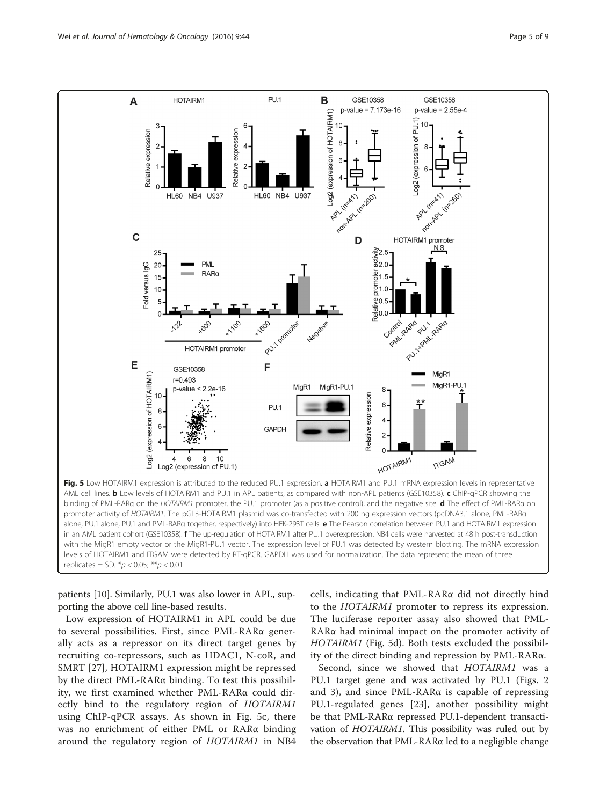<span id="page-4-0"></span>

patients [[10\]](#page-7-0). Similarly, PU.1 was also lower in APL, supporting the above cell line-based results.

Low expression of HOTAIRM1 in APL could be due to several possibilities. First, since PML-RARα generally acts as a repressor on its direct target genes by recruiting co-repressors, such as HDAC1, N-coR, and SMRT [[27\]](#page-7-0), HOTAIRM1 expression might be repressed by the direct PML-RARα binding. To test this possibility, we first examined whether PML-RARα could directly bind to the regulatory region of HOTAIRM1 using ChIP-qPCR assays. As shown in Fig. 5c, there was no enrichment of either PML or RARα binding around the regulatory region of HOTAIRM1 in NB4

cells, indicating that PML-RARα did not directly bind to the HOTAIRM1 promoter to repress its expression. The luciferase reporter assay also showed that PML-RARα had minimal impact on the promoter activity of HOTAIRM1 (Fig. 5d). Both tests excluded the possibility of the direct binding and repression by PML-RARα.

Second, since we showed that HOTAIRM1 was a PU.1 target gene and was activated by PU.1 (Figs. [2](#page-2-0) and [3](#page-3-0)), and since PML-RARα is capable of repressing PU.1-regulated genes [[23](#page-7-0)], another possibility might be that PML-RARα repressed PU.1-dependent transactivation of HOTAIRM1. This possibility was ruled out by the observation that PML-RARα led to a negligible change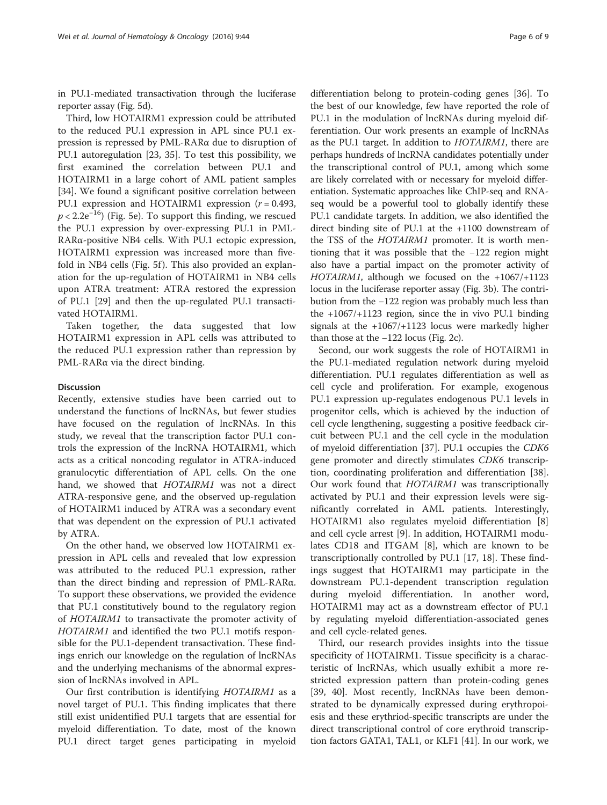in PU.1-mediated transactivation through the luciferase reporter assay (Fig. [5d\)](#page-4-0).

Third, low HOTAIRM1 expression could be attributed to the reduced PU.1 expression in APL since PU.1 expression is repressed by PML-RARα due to disruption of PU.1 autoregulation [\[23](#page-7-0), [35\]](#page-8-0). To test this possibility, we first examined the correlation between PU.1 and HOTAIRM1 in a large cohort of AML patient samples [[34\]](#page-8-0). We found a significant positive correlation between PU.1 expression and HOTAIRM1 expression  $(r = 0.493,$  $p < 2.2e^{-16}$ ) (Fig. [5e](#page-4-0)). To support this finding, we rescued the PU.1 expression by over-expressing PU.1 in PML-RARα-positive NB4 cells. With PU.1 ectopic expression, HOTAIRM1 expression was increased more than five-fold in NB4 cells (Fig. [5f](#page-4-0)). This also provided an explanation for the up-regulation of HOTAIRM1 in NB4 cells upon ATRA treatment: ATRA restored the expression of PU.1 [[29\]](#page-8-0) and then the up-regulated PU.1 transactivated HOTAIRM1.

Taken together, the data suggested that low HOTAIRM1 expression in APL cells was attributed to the reduced PU.1 expression rather than repression by PML-RARα via the direct binding.

#### Discussion

Recently, extensive studies have been carried out to understand the functions of lncRNAs, but fewer studies have focused on the regulation of lncRNAs. In this study, we reveal that the transcription factor PU.1 controls the expression of the lncRNA HOTAIRM1, which acts as a critical noncoding regulator in ATRA-induced granulocytic differentiation of APL cells. On the one hand, we showed that HOTAIRM1 was not a direct ATRA-responsive gene, and the observed up-regulation of HOTAIRM1 induced by ATRA was a secondary event that was dependent on the expression of PU.1 activated by ATRA.

On the other hand, we observed low HOTAIRM1 expression in APL cells and revealed that low expression was attributed to the reduced PU.1 expression, rather than the direct binding and repression of PML-RARα. To support these observations, we provided the evidence that PU.1 constitutively bound to the regulatory region of HOTAIRM1 to transactivate the promoter activity of HOTAIRM1 and identified the two PU.1 motifs responsible for the PU.1-dependent transactivation. These findings enrich our knowledge on the regulation of lncRNAs and the underlying mechanisms of the abnormal expression of lncRNAs involved in APL.

Our first contribution is identifying HOTAIRM1 as a novel target of PU.1. This finding implicates that there still exist unidentified PU.1 targets that are essential for myeloid differentiation. To date, most of the known PU.1 direct target genes participating in myeloid

differentiation belong to protein-coding genes [\[36](#page-8-0)]. To the best of our knowledge, few have reported the role of PU.1 in the modulation of lncRNAs during myeloid differentiation. Our work presents an example of lncRNAs as the PU.1 target. In addition to HOTAIRM1, there are perhaps hundreds of lncRNA candidates potentially under the transcriptional control of PU.1, among which some are likely correlated with or necessary for myeloid differentiation. Systematic approaches like ChIP-seq and RNAseq would be a powerful tool to globally identify these PU.1 candidate targets. In addition, we also identified the direct binding site of PU.1 at the +1100 downstream of the TSS of the HOTAIRM1 promoter. It is worth mentioning that it was possible that the −122 region might also have a partial impact on the promoter activity of HOTAIRM1, although we focused on the +1067/+1123 locus in the luciferase reporter assay (Fig. [3b](#page-3-0)). The contribution from the −122 region was probably much less than the +1067/+1123 region, since the in vivo PU.1 binding signals at the +1067/+1123 locus were markedly higher than those at the −122 locus (Fig. [2c\)](#page-2-0).

Second, our work suggests the role of HOTAIRM1 in the PU.1-mediated regulation network during myeloid differentiation. PU.1 regulates differentiation as well as cell cycle and proliferation. For example, exogenous PU.1 expression up-regulates endogenous PU.1 levels in progenitor cells, which is achieved by the induction of cell cycle lengthening, suggesting a positive feedback circuit between PU.1 and the cell cycle in the modulation of myeloid differentiation [[37](#page-8-0)]. PU.1 occupies the CDK6 gene promoter and directly stimulates CDK6 transcription, coordinating proliferation and differentiation [\[38](#page-8-0)]. Our work found that HOTAIRM1 was transcriptionally activated by PU.1 and their expression levels were significantly correlated in AML patients. Interestingly, HOTAIRM1 also regulates myeloid differentiation [\[8](#page-7-0)] and cell cycle arrest [\[9](#page-7-0)]. In addition, HOTAIRM1 modulates CD18 and ITGAM [\[8](#page-7-0)], which are known to be transcriptionally controlled by PU.1 [[17, 18\]](#page-7-0). These findings suggest that HOTAIRM1 may participate in the downstream PU.1-dependent transcription regulation during myeloid differentiation. In another word, HOTAIRM1 may act as a downstream effector of PU.1 by regulating myeloid differentiation-associated genes and cell cycle-related genes.

Third, our research provides insights into the tissue specificity of HOTAIRM1. Tissue specificity is a characteristic of lncRNAs, which usually exhibit a more restricted expression pattern than protein-coding genes [[39, 40\]](#page-8-0). Most recently, lncRNAs have been demonstrated to be dynamically expressed during erythropoiesis and these erythriod-specific transcripts are under the direct transcriptional control of core erythroid transcription factors GATA1, TAL1, or KLF1 [[41\]](#page-8-0). In our work, we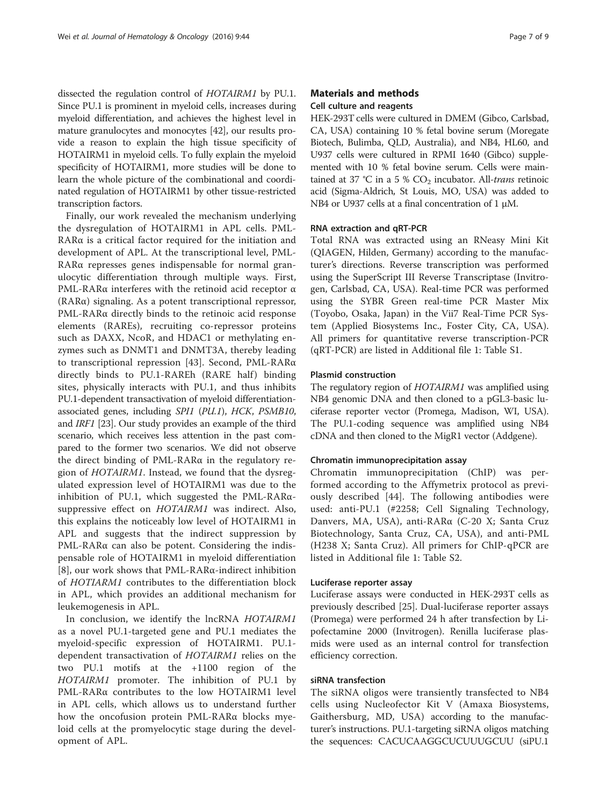dissected the regulation control of HOTAIRM1 by PU.1. Since PU.1 is prominent in myeloid cells, increases during myeloid differentiation, and achieves the highest level in mature granulocytes and monocytes [\[42\]](#page-8-0), our results provide a reason to explain the high tissue specificity of HOTAIRM1 in myeloid cells. To fully explain the myeloid specificity of HOTAIRM1, more studies will be done to learn the whole picture of the combinational and coordinated regulation of HOTAIRM1 by other tissue-restricted transcription factors.

Finally, our work revealed the mechanism underlying the dysregulation of HOTAIRM1 in APL cells. PML-RARα is a critical factor required for the initiation and development of APL. At the transcriptional level, PML-RARα represses genes indispensable for normal granulocytic differentiation through multiple ways. First, PML-RARα interferes with the retinoid acid receptor α (RARα) signaling. As a potent transcriptional repressor, PML-RARα directly binds to the retinoic acid response elements (RAREs), recruiting co-repressor proteins such as DAXX, NcoR, and HDAC1 or methylating enzymes such as DNMT1 and DNMT3A, thereby leading to transcriptional repression [[43](#page-8-0)]. Second, PML-RARα directly binds to PU.1-RAREh (RARE half) binding sites, physically interacts with PU.1, and thus inhibits PU.1-dependent transactivation of myeloid differentiationassociated genes, including SPI1 (PU.1), HCK, PSMB10, and IRF1 [[23\]](#page-7-0). Our study provides an example of the third scenario, which receives less attention in the past compared to the former two scenarios. We did not observe the direct binding of PML-RARα in the regulatory region of HOTAIRM1. Instead, we found that the dysregulated expression level of HOTAIRM1 was due to the inhibition of PU.1, which suggested the PML-RARαsuppressive effect on HOTAIRM1 was indirect. Also, this explains the noticeably low level of HOTAIRM1 in APL and suggests that the indirect suppression by PML-RARα can also be potent. Considering the indispensable role of HOTAIRM1 in myeloid differentiation [[8\]](#page-7-0), our work shows that PML-RARα-indirect inhibition of HOTIARM1 contributes to the differentiation block in APL, which provides an additional mechanism for leukemogenesis in APL.

In conclusion, we identify the lncRNA HOTAIRM1 as a novel PU.1-targeted gene and PU.1 mediates the myeloid-specific expression of HOTAIRM1. PU.1 dependent transactivation of HOTAIRM1 relies on the two PU.1 motifs at the +1100 region of the HOTAIRM1 promoter. The inhibition of PU.1 by PML-RARα contributes to the low HOTAIRM1 level in APL cells, which allows us to understand further how the oncofusion protein PML-RARα blocks myeloid cells at the promyelocytic stage during the development of APL.

# Materials and methods

# Cell culture and reagents

HEK-293T cells were cultured in DMEM (Gibco, Carlsbad, CA, USA) containing 10 % fetal bovine serum (Moregate Biotech, Bulimba, QLD, Australia), and NB4, HL60, and U937 cells were cultured in RPMI 1640 (Gibco) supplemented with 10 % fetal bovine serum. Cells were maintained at 37 °C in a 5 %  $CO<sub>2</sub>$  incubator. All-trans retinoic acid (Sigma-Aldrich, St Louis, MO, USA) was added to NB4 or U937 cells at a final concentration of 1 μM.

#### RNA extraction and qRT-PCR

Total RNA was extracted using an RNeasy Mini Kit (QIAGEN, Hilden, Germany) according to the manufacturer's directions. Reverse transcription was performed using the SuperScript III Reverse Transcriptase (Invitrogen, Carlsbad, CA, USA). Real-time PCR was performed using the SYBR Green real-time PCR Master Mix (Toyobo, Osaka, Japan) in the Vii7 Real-Time PCR System (Applied Biosystems Inc., Foster City, CA, USA). All primers for quantitative reverse transcription-PCR (qRT-PCR) are listed in Additional file [1](#page-7-0): Table S1.

#### Plasmid construction

The regulatory region of HOTAIRM1 was amplified using NB4 genomic DNA and then cloned to a pGL3-basic luciferase reporter vector (Promega, Madison, WI, USA). The PU.1-coding sequence was amplified using NB4 cDNA and then cloned to the MigR1 vector (Addgene).

#### Chromatin immunoprecipitation assay

Chromatin immunoprecipitation (ChIP) was performed according to the Affymetrix protocol as previously described [\[44\]](#page-8-0). The following antibodies were used: anti-PU.1 (#2258; Cell Signaling Technology, Danvers, MA, USA), anti-RARα (C-20 X; Santa Cruz Biotechnology, Santa Cruz, CA, USA), and anti-PML (H238 X; Santa Cruz). All primers for ChIP-qPCR are listed in Additional file [1](#page-7-0): Table S2.

#### Luciferase reporter assay

Luciferase assays were conducted in HEK-293T cells as previously described [[25](#page-7-0)]. Dual-luciferase reporter assays (Promega) were performed 24 h after transfection by Lipofectamine 2000 (Invitrogen). Renilla luciferase plasmids were used as an internal control for transfection efficiency correction.

#### siRNA transfection

The siRNA oligos were transiently transfected to NB4 cells using Nucleofector Kit V (Amaxa Biosystems, Gaithersburg, MD, USA) according to the manufacturer's instructions. PU.1-targeting siRNA oligos matching the sequences: CACUCAAGGCUCUUUGCUU (siPU.1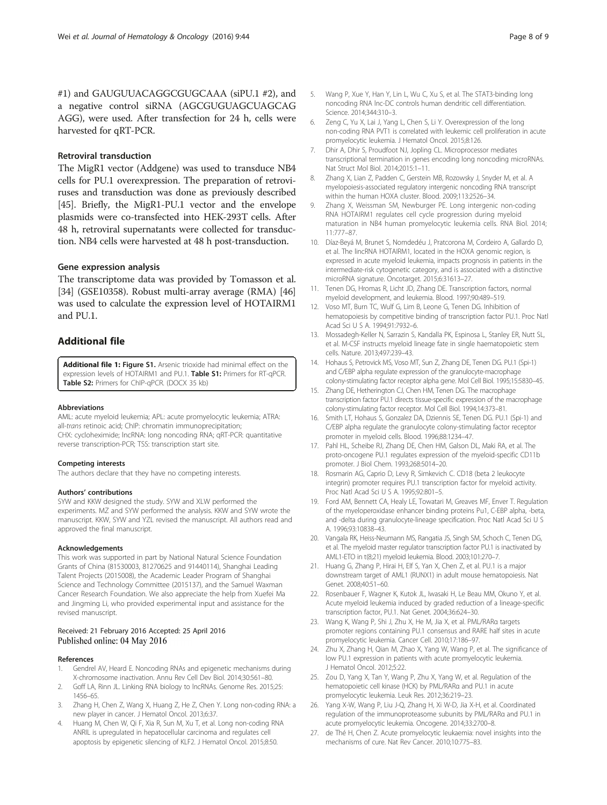<span id="page-7-0"></span>#1) and GAUGUUACAGGCGUGCAAA (siPU.1 #2), and a negative control siRNA (AGCGUGUAGCUAGCAG AGG), were used. After transfection for 24 h, cells were harvested for qRT-PCR.

#### Retroviral transduction

The MigR1 vector (Addgene) was used to transduce NB4 cells for PU.1 overexpression. The preparation of retroviruses and transduction was done as previously described [[45](#page-8-0)]. Briefly, the MigR1-PU.1 vector and the envelope plasmids were co-transfected into HEK-293T cells. After 48 h, retroviral supernatants were collected for transduction. NB4 cells were harvested at 48 h post-transduction.

#### Gene expression analysis

The transcriptome data was provided by Tomasson et al. [[34](#page-8-0)] (GSE10358). Robust multi-array average (RMA) [[46](#page-8-0)] was used to calculate the expression level of HOTAIRM1 and PU.1.

# Additional file

[Additional file 1:](dx.doi.org/10.1186/s13045-016-0274-1) Figure S1. Arsenic trioxide had minimal effect on the expression levels of HOTAIRM1 and PU.1. Table S1: Primers for RT-qPCR. Table S2: Primers for ChIP-qPCR. (DOCX 35 kb)

#### Abbreviations

AML: acute myeloid leukemia; APL: acute promyelocytic leukemia; ATRA: all-trans retinoic acid; ChIP: chromatin immunoprecipitation; CHX: cycloheximide; lncRNA: long noncoding RNA; qRT-PCR: quantitative reverse transcription-PCR; TSS: transcription start site.

#### Competing interests

The authors declare that they have no competing interests.

#### Authors' contributions

SYW and KKW designed the study. SYW and XLW performed the experiments. MZ and SYW performed the analysis. KKW and SYW wrote the manuscript. KKW, SYW and YZL revised the manuscript. All authors read and approved the final manuscript.

#### Acknowledgements

This work was supported in part by National Natural Science Foundation Grants of China (81530003, 81270625 and 91440114), Shanghai Leading Talent Projects (2015008), the Academic Leader Program of Shanghai Science and Technology Committee (2015137), and the Samuel Waxman Cancer Research Foundation. We also appreciate the help from Xuefei Ma and Jingming Li, who provided experimental input and assistance for the revised manuscript.

#### Received: 21 February 2016 Accepted: 25 April 2016 Published online: 04 May 2016

#### References

- 1. Gendrel AV, Heard E. Noncoding RNAs and epigenetic mechanisms during X-chromosome inactivation. Annu Rev Cell Dev Biol. 2014;30:561–80.
- 2. Goff LA, Rinn JL. Linking RNA biology to lncRNAs. Genome Res. 2015;25: 1456–65.
- 3. Zhang H, Chen Z, Wang X, Huang Z, He Z, Chen Y. Long non-coding RNA: a new player in cancer. J Hematol Oncol. 2013;6:37.
- 4. Huang M, Chen W, Qi F, Xia R, Sun M, Xu T, et al. Long non-coding RNA ANRIL is upregulated in hepatocellular carcinoma and regulates cell apoptosis by epigenetic silencing of KLF2. J Hematol Oncol. 2015;8:50.
- 6. Zeng C, Yu X, Lai J, Yang L, Chen S, Li Y. Overexpression of the long non-coding RNA PVT1 is correlated with leukemic cell proliferation in acute promyelocytic leukemia. J Hematol Oncol. 2015;8:126.
- 7. Dhir A, Dhir S, Proudfoot NJ, Jopling CL. Microprocessor mediates transcriptional termination in genes encoding long noncoding microRNAs. Nat Struct Mol Biol. 2014;2015:1–11.
- 8. Zhang X, Lian Z, Padden C, Gerstein MB, Rozowsky J, Snyder M, et al. A myelopoiesis-associated regulatory intergenic noncoding RNA transcript within the human HOXA cluster. Blood. 2009;113:2526–34.
- 9. Zhang X, Weissman SM, Newburger PE. Long intergenic non-coding RNA HOTAIRM1 regulates cell cycle progression during myeloid maturation in NB4 human promyelocytic leukemia cells. RNA Biol. 2014; 11:777–87.
- 10. Díaz-Beyá M, Brunet S, Nomdedéu J, Pratcorona M, Cordeiro A, Gallardo D, et al. The lincRNA HOTAIRM1, located in the HOXA genomic region, is expressed in acute myeloid leukemia, impacts prognosis in patients in the intermediate-risk cytogenetic category, and is associated with a distinctive microRNA signature. Oncotarget. 2015;6:31613–27.
- 11. Tenen DG, Hromas R, Licht JD, Zhang DE. Transcription factors, normal myeloid development, and leukemia. Blood. 1997;90:489–519.
- 12. Voso MT, Burn TC, Wulf G, Lim B, Leone G, Tenen DG. Inhibition of hematopoiesis by competitive binding of transcription factor PU.1. Proc Natl Acad Sci U S A. 1994;91:7932–6.
- 13. Mossadegh-Keller N, Sarrazin S, Kandalla PK, Espinosa L, Stanley ER, Nutt SL, et al. M-CSF instructs myeloid lineage fate in single haematopoietic stem cells. Nature. 2013;497:239–43.
- 14. Hohaus S, Petrovick MS, Voso MT, Sun Z, Zhang DE, Tenen DG. PU.1 (Spi-1) and C/EBP alpha regulate expression of the granulocyte-macrophage colony-stimulating factor receptor alpha gene. Mol Cell Biol. 1995;15:5830–45.
- 15. Zhang DE, Hetherington CJ, Chen HM, Tenen DG. The macrophage transcription factor PU.1 directs tissue-specific expression of the macrophage colony-stimulating factor receptor. Mol Cell Biol. 1994;14:373–81.
- 16. Smith LT, Hohaus S, Gonzalez DA, Dziennis SE, Tenen DG. PU.1 (Spi-1) and C/EBP alpha regulate the granulocyte colony-stimulating factor receptor promoter in myeloid cells. Blood. 1996;88:1234–47.
- 17. Pahl HL, Scheibe RJ, Zhang DE, Chen HM, Galson DL, Maki RA, et al. The proto-oncogene PU.1 regulates expression of the myeloid-specific CD11b promoter. J Biol Chem. 1993;268:5014–20.
- 18. Rosmarin AG, Caprio D, Levy R, Simkevich C. CD18 (beta 2 leukocyte integrin) promoter requires PU.1 transcription factor for myeloid activity. Proc Natl Acad Sci U S A. 1995;92:801–5.
- 19. Ford AM, Bennett CA, Healy LE, Towatari M, Greaves MF, Enver T. Regulation of the myeloperoxidase enhancer binding proteins Pu1, C-EBP alpha, -beta, and -delta during granulocyte-lineage specification. Proc Natl Acad Sci U S A. 1996;93:10838–43.
- 20. Vangala RK, Heiss-Neumann MS, Rangatia JS, Singh SM, Schoch C, Tenen DG, et al. The myeloid master regulator transcription factor PU.1 is inactivated by AML1-ETO in t(8;21) myeloid leukemia. Blood. 2003;101:270–7.
- 21. Huang G, Zhang P, Hirai H, Elf S, Yan X, Chen Z, et al. PU.1 is a major downstream target of AML1 (RUNX1) in adult mouse hematopoiesis. Nat Genet. 2008;40:51–60.
- 22. Rosenbauer F, Wagner K, Kutok JL, Iwasaki H, Le Beau MM, Okuno Y, et al. Acute myeloid leukemia induced by graded reduction of a lineage-specific transcription factor, PU.1. Nat Genet. 2004;36:624–30.
- 23. Wang K, Wang P, Shi J, Zhu X, He M, Jia X, et al. PML/RARα targets promoter regions containing PU.1 consensus and RARE half sites in acute promyelocytic leukemia. Cancer Cell. 2010;17:186–97.
- 24. Zhu X, Zhang H, Qian M, Zhao X, Yang W, Wang P, et al. The significance of low PU.1 expression in patients with acute promyelocytic leukemia. J Hematol Oncol. 2012;5:22.
- 25. Zou D, Yang X, Tan Y, Wang P, Zhu X, Yang W, et al. Regulation of the hematopoietic cell kinase (HCK) by PML/RARα and PU.1 in acute promyelocytic leukemia. Leuk Res. 2012;36:219–23.
- 26. Yang X-W, Wang P, Liu J-Q, Zhang H, Xi W-D, Jia X-H, et al. Coordinated regulation of the immunoproteasome subunits by PML/RARα and PU.1 in acute promyelocytic leukemia. Oncogene. 2014;33:2700–8.
- 27. de Thé H, Chen Z. Acute promyelocytic leukaemia: novel insights into the mechanisms of cure. Nat Rev Cancer. 2010;10:775–83.